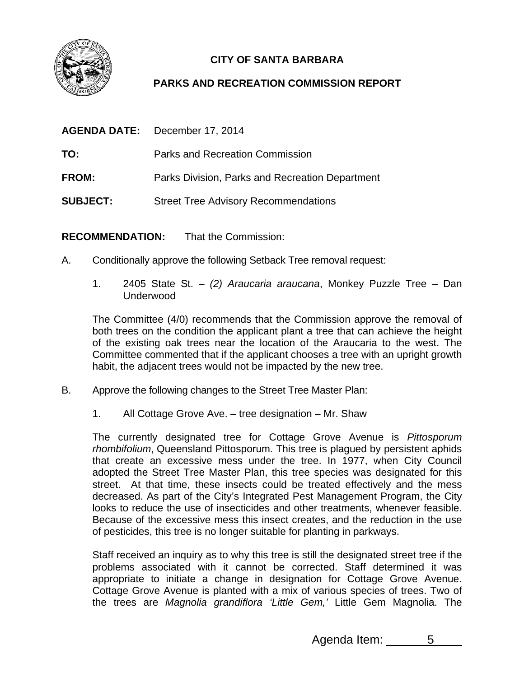

## **CITY OF SANTA BARBARA**

## **PARKS AND RECREATION COMMISSION REPORT**

|                 | <b>AGENDA DATE:</b> December 17, 2014           |
|-----------------|-------------------------------------------------|
| TO:             | Parks and Recreation Commission                 |
| FROM:           | Parks Division, Parks and Recreation Department |
| <b>SUBJECT:</b> | <b>Street Tree Advisory Recommendations</b>     |

**RECOMMENDATION:** That the Commission:

- A. Conditionally approve the following Setback Tree removal request:
	- 1. 2405 State St. *(2) Araucaria araucana*, Monkey Puzzle Tree Dan Underwood

The Committee (4/0) recommends that the Commission approve the removal of both trees on the condition the applicant plant a tree that can achieve the height of the existing oak trees near the location of the Araucaria to the west. The Committee commented that if the applicant chooses a tree with an upright growth habit, the adjacent trees would not be impacted by the new tree.

- B. Approve the following changes to the Street Tree Master Plan:
	- 1. All Cottage Grove Ave. tree designation Mr. Shaw

The currently designated tree for Cottage Grove Avenue is *Pittosporum rhombifolium*, Queensland Pittosporum. This tree is plagued by persistent aphids that create an excessive mess under the tree. In 1977, when City Council adopted the Street Tree Master Plan, this tree species was designated for this street. At that time, these insects could be treated effectively and the mess decreased. As part of the City's Integrated Pest Management Program, the City looks to reduce the use of insecticides and other treatments, whenever feasible. Because of the excessive mess this insect creates, and the reduction in the use of pesticides, this tree is no longer suitable for planting in parkways.

Staff received an inquiry as to why this tree is still the designated street tree if the problems associated with it cannot be corrected. Staff determined it was appropriate to initiate a change in designation for Cottage Grove Avenue. Cottage Grove Avenue is planted with a mix of various species of trees. Two of the trees are *Magnolia grandiflora 'Little Gem,'* Little Gem Magnolia. The

Agenda Item: 5